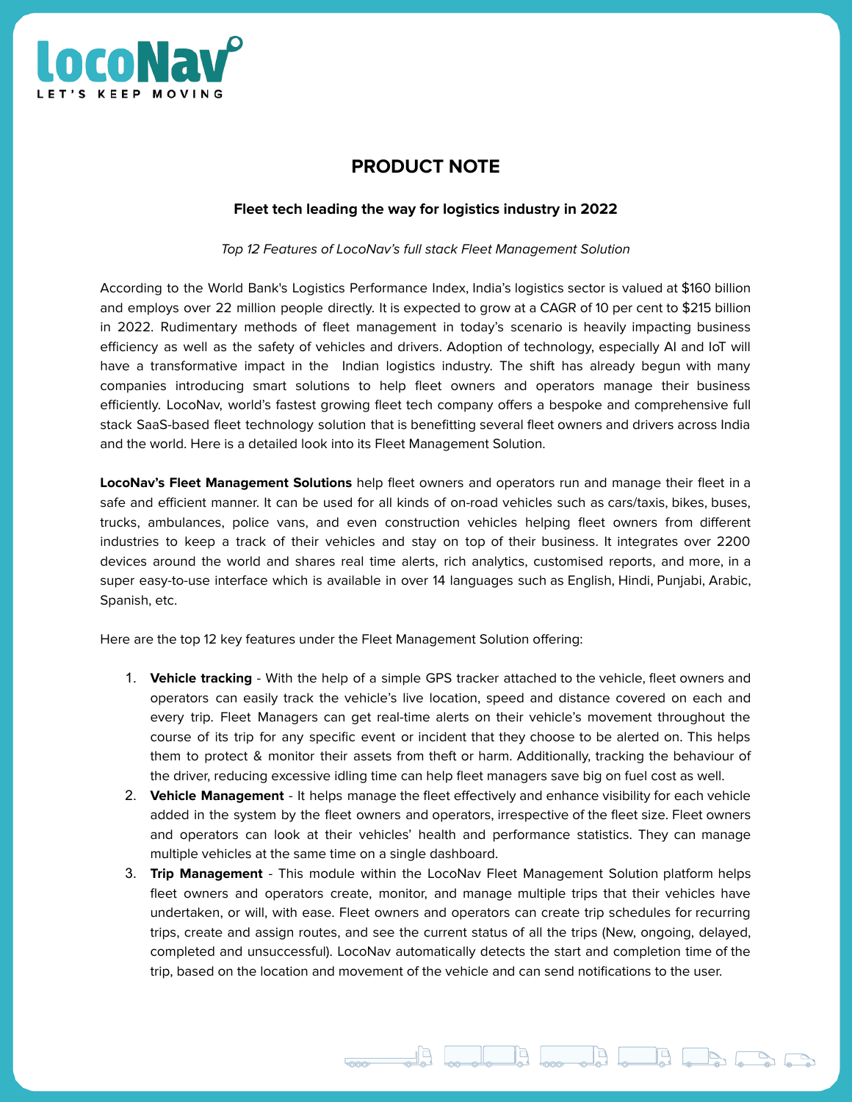

## **PRODUCT NOTE**

## **Fleet tech leading the way for logistics industry in 2022**

Top 12 Features of LocoNav's full stack Fleet Management Solution

According to the World Bank's Logistics Performance Index, India's logistics sector is valued at \$160 billion and employs over 22 million people directly. It is expected to grow at a CAGR of 10 per cent to \$215 billion in 2022. Rudimentary methods of fleet management in today's scenario is heavily impacting business efficiency as well as the safety of vehicles and drivers. Adoption of technology, especially AI and IoT will have a transformative impact in the Indian logistics industry. The shift has already begun with many companies introducing smart solutions to help fleet owners and operators manage their business efficiently. LocoNav, world's fastest growing fleet tech company offers a bespoke and comprehensive full stack SaaS-based fleet technology solution that is benefitting several fleet owners and drivers across India and the world. Here is a detailed look into its Fleet Management Solution.

**LocoNav's Fleet Management Solutions** help fleet owners and operators run and manage their fleet in a safe and efficient manner. It can be used for all kinds of on-road vehicles such as cars/taxis, bikes, buses, trucks, ambulances, police vans, and even construction vehicles helping fleet owners from different industries to keep a track of their vehicles and stay on top of their business. It integrates over 2200 devices around the world and shares real time alerts, rich analytics, customised reports, and more, in a super easy-to-use interface which is available in over 14 languages such as English, Hindi, Punjabi, Arabic, Spanish, etc.

Here are the top 12 key features under the Fleet Management Solution offering:

- 1. **Vehicle tracking** With the help of a simple GPS tracker attached to the vehicle, fleet owners and operators can easily track the vehicle's live location, speed and distance covered on each and every trip. Fleet Managers can get real-time alerts on their vehicle's movement throughout the course of its trip for any specific event or incident that they choose to be alerted on. This helps them to protect & monitor their assets from theft or harm. Additionally, tracking the behaviour of the driver, reducing excessive idling time can help fleet managers save big on fuel cost as well.
- 2. **Vehicle Management** It helps manage the fleet effectively and enhance visibility for each vehicle added in the system by the fleet owners and operators, irrespective of the fleet size. Fleet owners and operators can look at their vehicles' health and performance statistics. They can manage multiple vehicles at the same time on a single dashboard.
- 3. **Trip Management** This module within the LocoNav Fleet Management Solution platform helps fleet owners and operators create, monitor, and manage multiple trips that their vehicles have undertaken, or will, with ease. Fleet owners and operators can create trip schedules for recurring trips, create and assign routes, and see the current status of all the trips (New, ongoing, delayed, completed and unsuccessful). LocoNav automatically detects the start and completion time of the trip, based on the location and movement of the vehicle and can send notifications to the user.

**Contract of Contract of Contract of Contract of Contract of Contract of Contract of Contract of Contract of Co**